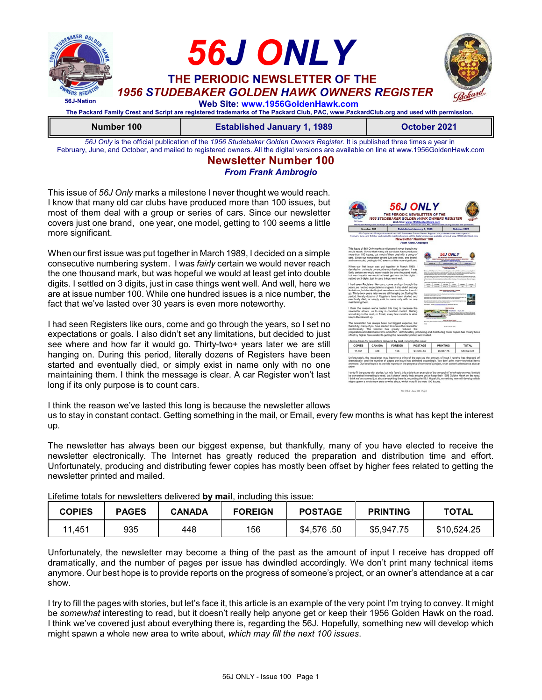

*56J Only* is the official publication of the *1956 Studebaker Golden Owners Register*. It is published three times a year in February, June, and October, and mailed to registered owners. All the digital versions are available on line at www.1956GoldenHawk.com

#### **Newsletter Number 100** *From Frank Ambrogio*

This issue of *56J Only* marks a milestone I never thought we would reach. I know that many old car clubs have produced more than 100 issues, but most of them deal with a group or series of cars. Since our newsletter covers just one brand, one year, one model, getting to 100 seems a little more significant.

When our first issue was put together in March 1989, I decided on a simple consecutive numbering system. I was *fairly* certain we would never reach the one thousand mark, but was hopeful we would at least get into double digits. I settled on 3 digits, just in case things went well. And well, here we are at issue number 100. While one hundred issues is a nice number, the fact that we've lasted over 30 years is even more noteworthy.

I had seen Registers like ours, come and go through the years, so I set no expectations or goals. I also didn't set any limitations, but decided to just see where and how far it would go. Thirty-two+ years later we are still hanging on. During this period, literally dozens of Registers have been started and eventually died, or simply exist in name only with no one maintaining them. I think the message is clear. A car Register won't last long if its only purpose is to count cars.



I think the reason we've lasted this long is because the newsletter allows us to stay in constant contact. Getting something in the mail, or Email, every few months is what has kept the interest up.

The newsletter has always been our biggest expense, but thankfully, many of you have elected to receive the newsletter electronically. The Internet has greatly reduced the preparation and distribution time and effort. Unfortunately, producing and distributing fewer copies has mostly been offset by higher fees related to getting the newsletter printed and mailed.

| Lileurile totals for riewsletters delivered by mail, including this issue. |              |               |                |                |                 |              |
|----------------------------------------------------------------------------|--------------|---------------|----------------|----------------|-----------------|--------------|
| <b>COPIES</b>                                                              | <b>PAGES</b> | <b>CANADA</b> | <b>FOREIGN</b> | <b>POSTAGE</b> | <b>PRINTING</b> | <b>TOTAL</b> |
| 11.451                                                                     | 935          | 448           | 156            | \$4,576,50     | \$5.947.75      | \$10,524.25  |

Lifetime totals for newsletters delivered **by mail**, including this issue:

Unfortunately, the newsletter may become a thing of the past as the amount of input I receive has dropped off dramatically, and the number of pages per issue has dwindled accordingly. We don't print many technical items anymore. Our best hope is to provide reports on the progress of someone's project, or an owner's attendance at a car show.

I try to fill the pages with stories, but let's face it, this article is an example of the very point I'm trying to convey. It might be *somewhat* interesting to read, but it doesn't really help anyone get or keep their 1956 Golden Hawk on the road. I think we've covered just about everything there is, regarding the 56J. Hopefully, something new will develop which might spawn a whole new area to write about, *which may fill the next 100 issues*.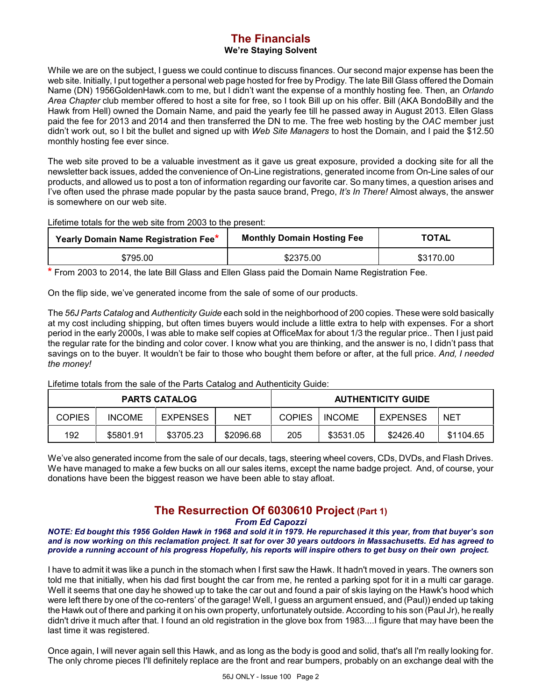#### **The Financials We're Staying Solvent**

While we are on the subject, I guess we could continue to discuss finances. Our second major expense has been the web site. Initially, I put together a personal web page hosted for free by Prodigy. The late Bill Glass offered the Domain Name (DN) 1956GoldenHawk.com to me, but I didn't want the expense of a monthly hosting fee. Then, an *Orlando Area Chapter* club member offered to host a site for free, so I took Bill up on his offer. Bill (AKA BondoBilly and the Hawk from Hell) owned the Domain Name, and paid the yearly fee till he passed away in August 2013. Ellen Glass paid the fee for 2013 and 2014 and then transferred the DN to me. The free web hosting by the *OAC* member just didn't work out, so I bit the bullet and signed up with *Web Site Managers* to host the Domain, and I paid the \$12.50 monthly hosting fee ever since.

The web site proved to be a valuable investment as it gave us great exposure, provided a docking site for all the newsletter back issues, added the convenience of On-Line registrations, generated income from On-Line sales of our products, and allowed us to post a ton of information regarding our favorite car. So many times, a question arises and I've often used the phrase made popular by the pasta sauce brand, Prego, *It's In There!* Almost always, the answer is somewhere on our web site.

Lifetime totals for the web site from 2003 to the present:

| Yearly Domain Name Registration Fee* | <b>Monthly Domain Hosting Fee</b> | <b>TOTAL</b> |  |
|--------------------------------------|-----------------------------------|--------------|--|
| \$795.00                             | \$2375.00                         | \$3170.00    |  |

**\*** From 2003 to 2014, the late Bill Glass and Ellen Glass paid the Domain Name Registration Fee.

On the flip side, we've generated income from the sale of some of our products.

The *56J Parts Catalog* and *Authenticity Guide* each sold in the neighborhood of 200 copies. These were sold basically at my cost including shipping, but often times buyers would include a little extra to help with expenses. For a short period in the early 2000s, I was able to make self copies at OfficeMax for about 1/3 the regular price.. Then I just paid the regular rate for the binding and color cover. I know what you are thinking, and the answer is no, I didn't pass that savings on to the buyer. It wouldn't be fair to those who bought them before or after, at the full price. *And, I needed the money!*

Lifetime totals from the sale of the Parts Catalog and Authenticity Guide:

| <b>PARTS CATALOG</b> |               |                 |           | <b>AUTHENTICITY GUIDE</b> |               |                 |            |
|----------------------|---------------|-----------------|-----------|---------------------------|---------------|-----------------|------------|
| COPIES               | <b>INCOME</b> | <b>EXPENSES</b> | NET       | <b>COPIES</b>             | <b>INCOME</b> | <b>EXPENSES</b> | <b>NET</b> |
| 192                  | \$5801.91     | \$3705.23       | \$2096.68 | 205                       | \$3531.05     | \$2426.40       | \$1104.65  |

We've also generated income from the sale of our decals, tags, steering wheel covers, CDs, DVDs, and Flash Drives. We have managed to make a few bucks on all our sales items, except the name badge project. And, of course, your donations have been the biggest reason we have been able to stay afloat.

# **The Resurrection Of 6030610 Project (Part 1)**

*From Ed Capozzi*

*NOTE: Ed bought this 1956 Golden Hawk in 1968 and sold it in 1979. He repurchased it this year, from that buyer's son and is now working on this reclamation project. It sat for over 30 years outdoors in Massachusetts. Ed has agreed to provide a running account of his progress Hopefully, his reports will inspire others to get busy on their own project.*

I have to admit it was like a punch in the stomach when I first saw the Hawk. It hadn't moved in years. The owners son told me that initially, when his dad first bought the car from me, he rented a parking spot for it in a multi car garage. Well it seems that one day he showed up to take the car out and found a pair of skis laying on the Hawk's hood which were left there by one of the co-renters' of the garage! Well, I guess an argument ensued, and (Paul)) ended up taking the Hawk out of there and parking it on his own property, unfortunately outside. According to his son (Paul Jr), he really didn't drive it much after that. I found an old registration in the glove box from 1983....I figure that may have been the last time it was registered.

Once again, I will never again sell this Hawk, and as long as the body is good and solid, that's all I'm really looking for. The only chrome pieces I'll definitely replace are the front and rear bumpers, probably on an exchange deal with the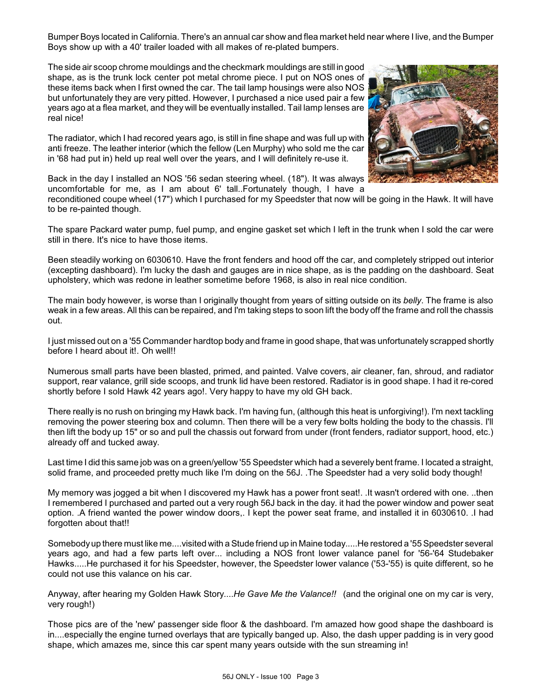Bumper Boys located in California. There's an annual car show and flea market held near where I live, and the Bumper Boys show up with a 40' trailer loaded with all makes of re-plated bumpers.

The side air scoop chrome mouldings and the checkmark mouldings are still in good shape, as is the trunk lock center pot metal chrome piece. I put on NOS ones of these items back when I first owned the car. The tail lamp housings were also NOS but unfortunately they are very pitted. However, I purchased a nice used pair a few years ago at a flea market, and they will be eventually installed. Tail lamp lenses are real nice!

The radiator, which I had recored years ago, is still in fine shape and was full up with anti freeze. The leather interior (which the fellow (Len Murphy) who sold me the car in '68 had put in) held up real well over the years, and I will definitely re-use it.



Back in the day I installed an NOS '56 sedan steering wheel. (18"). It was always uncomfortable for me, as I am about 6' tall..Fortunately though, I have a

reconditioned coupe wheel (17") which I purchased for my Speedster that now will be going in the Hawk. It will have to be re-painted though.

The spare Packard water pump, fuel pump, and engine gasket set which I left in the trunk when I sold the car were still in there. It's nice to have those items.

Been steadily working on 6030610. Have the front fenders and hood off the car, and completely stripped out interior (excepting dashboard). I'm lucky the dash and gauges are in nice shape, as is the padding on the dashboard. Seat upholstery, which was redone in leather sometime before 1968, is also in real nice condition.

The main body however, is worse than I originally thought from years of sitting outside on its *belly*. The frame is also weak in a few areas. All this can be repaired, and I'm taking steps to soon lift the body off the frame and roll the chassis out.

I just missed out on a '55 Commander hardtop body and frame in good shape, that was unfortunately scrapped shortly before I heard about it!. Oh well!!

Numerous small parts have been blasted, primed, and painted. Valve covers, air cleaner, fan, shroud, and radiator support, rear valance, grill side scoops, and trunk lid have been restored. Radiator is in good shape. I had it re-cored shortly before I sold Hawk 42 years ago!. Very happy to have my old GH back.

There really is no rush on bringing my Hawk back. I'm having fun, (although this heat is unforgiving!). I'm next tackling removing the power steering box and column. Then there will be a very few bolts holding the body to the chassis. I'll then lift the body up 15" or so and pull the chassis out forward from under (front fenders, radiator support, hood, etc.) already off and tucked away.

Last time I did this same job was on a green/yellow '55 Speedster which had a severely bent frame. I located a straight, solid frame, and proceeded pretty much like I'm doing on the 56J. .The Speedster had a very solid body though!

My memory was jogged a bit when I discovered my Hawk has a power front seat!. .It wasn't ordered with one. ..then I remembered I purchased and parted out a very rough 56J back in the day. it had the power window and power seat option. .A friend wanted the power window doors,. I kept the power seat frame, and installed it in 6030610. .I had forgotten about that!!

Somebodyup there must like me....visited with a Stude friend up in Maine today.....He restored a '55 Speedster several years ago, and had a few parts left over... including a NOS front lower valance panel for '56-'64 Studebaker Hawks.....He purchased it for his Speedster, however, the Speedster lower valance ('53-'55) is quite different, so he could not use this valance on his car.

Anyway, after hearing my Golden Hawk Story....*He Gave Me the Valance!!* (and the original one on my car is very, very rough!)

Those pics are of the 'new' passenger side floor & the dashboard. I'm amazed how good shape the dashboard is in....especially the engine turned overlays that are typically banged up. Also, the dash upper padding is in very good shape, which amazes me, since this car spent many years outside with the sun streaming in!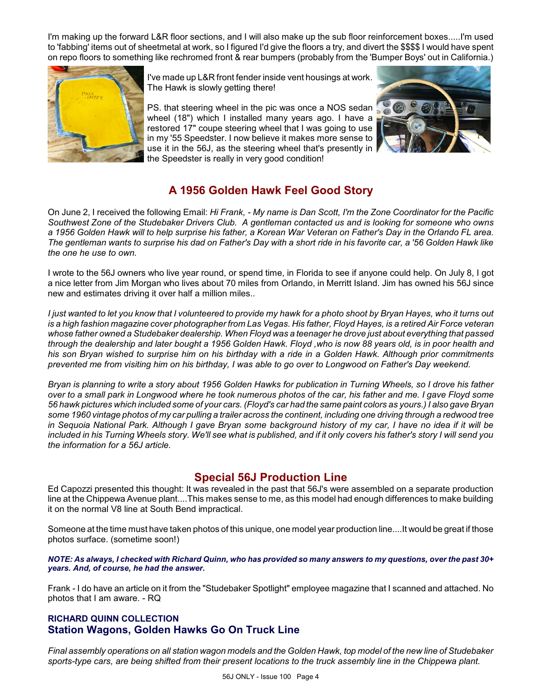I'm making up the forward L&R floor sections, and I will also make up the sub floor reinforcement boxes.....I'm used to 'fabbing' items out of sheetmetal at work, so I figured I'd give the floors a try, and divert the \$\$\$\$ I would have spent on repo floors to something like rechromed front & rear bumpers (probably from the 'Bumper Boys' out in California.)



I've made up L&R front fender inside vent housings at work. The Hawk is slowly getting there!

PS. that steering wheel in the pic was once a NOS sedan wheel (18") which I installed many years ago. I have a restored 17" coupe steering wheel that I was going to use in my '55 Speedster. I now believe it makes more sense to use it in the 56J, as the steering wheel that's presently in the Speedster is really in very good condition!



### **A 1956 Golden Hawk Feel Good Story**

On June 2, I received the following Email: *Hi Frank, - My name is Dan Scott, I'm the Zone Coordinator for the Pacific Southwest Zone of the Studebaker Drivers Club. A gentleman contacted us and is looking for someone who owns a 1956 Golden Hawk will to help surprise his father, a Korean War Veteran on Father's Day in the Orlando FL area. The gentleman wants to surprise his dad on Father's Day with a short ride in his favorite car, a '56 Golden Hawk like the one he use to own.*

I wrote to the 56J owners who live year round, or spend time, in Florida to see if anyone could help. On July 8, I got a nice letter from Jim Morgan who lives about 70 miles from Orlando, in Merritt Island. Jim has owned his 56J since new and estimates driving it over half a million miles..

*I just wanted to let you know that I volunteered to provide my hawk for a photo shoot by Bryan Hayes, who it turns out is a high fashion magazine cover photographer from Las Vegas. His father, Floyd Hayes, is a retired Air Force veteran whose father owned a Studebaker dealership. When Floyd was a teenager he drove just about everything that passed through the dealership and later bought a 1956 Golden Hawk. Floyd ,who is now 88 years old, is in poor health and his son Bryan wished to surprise him on his birthday with a ride in a Golden Hawk. Although prior commitments prevented me from visiting him on his birthday, I was able to go over to Longwood on Father's Day weekend.*

*Bryan is planning to write a story about 1956 Golden Hawks for publication in Turning Wheels, so I drove his father over to a small park in Longwood where he took numerous photos of the car, his father and me. I gave Floyd some 56 hawk pictures which included some of your cars. (Floyd's car had the same paint colors as yours.) I also gave Bryan some 1960 vintage photos of my car pulling a trailer across the continent, including one driving through a redwood tree in Sequoia National Park. Although I gave Bryan some background history of my car, I have no idea if it will be included in his Turning Wheels story. We'll see what is published, and if it only covers his father's story I will send you the information for a 56J article.*

### **Special 56J Production Line**

Ed Capozzi presented this thought: It was revealed in the past that 56J's were assembled on a separate production line at the Chippewa Avenue plant....This makes sense to me, as this model had enough differences to make building it on the normal V8 line at South Bend impractical.

Someone at the time must have taken photos of this unique, one model year production line....It would be great if those photos surface. (sometime soon!)

*NOTE: As always, I checked with Richard Quinn, who has provided so many answers to my questions, over the past 30+ years. And, of course, he had the answer.*

Frank - I do have an article on it from the "Studebaker Spotlight" employee magazine that I scanned and attached. No photos that I am aware. - RQ

### **RICHARD QUINN COLLECTION Station Wagons, Golden Hawks Go On Truck Line**

*Final assembly operations on all station wagon models and the Golden Hawk, top model of the new line of Studebaker sports-type cars, are being shifted from their present locations to the truck assembly line in the Chippewa plant.*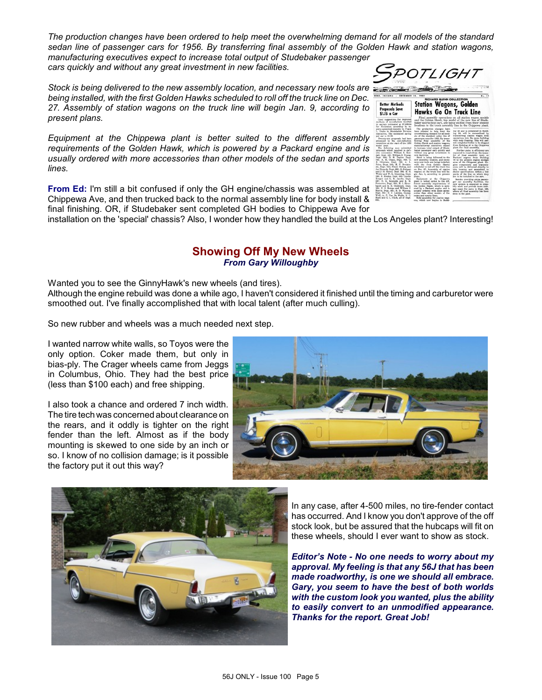*The production changes have been ordered to help meet the overwhelming demand for all models of the standard sedan line of passenger cars for 1956. By transferring final assembly of the Golden Hawk and station wagons, manufacturing executives expect to increase total output of Studebaker passenger cars quickly and without any great investment in new facilities.*  SPOTI IGHT

*Stock is being delivered to the new assembly location, and necessary new tools are being installed, with the first Golden Hawks scheduled to roll off the truck line on Dec. 27. Assembly of station wagons on the truck line will begin Jan. 9, according to present plans.*

*Equipment at the Chippewa plant is better suited to the different assembly requirements of the Golden Hawk, which is powered by a Packard engine and is usually ordered with more accessories than other models of the sedan and sports lines.*

| DECEMBER 20.<br>INGIANA                                                                                                                                                                                                                                                                                                                                                                                                                                                                                                                                                                                                                                                                                                                                                                                                                                                                                                                                                                                                                                                 | 1955<br><b>RICHARD QUINN COLLECTION</b>                                                                                                                                                                                                                                                                                                                                                                                                                                                                                                                                                                                                                                                                                                                                                                                                                                                                                                                                                                                                       | No. 17                                                                                                                                                                                                                                                                                                                                                                                                                                                                                                                                                                                                                                                                                                                                                                                                                                                                                                                                                                        |
|-------------------------------------------------------------------------------------------------------------------------------------------------------------------------------------------------------------------------------------------------------------------------------------------------------------------------------------------------------------------------------------------------------------------------------------------------------------------------------------------------------------------------------------------------------------------------------------------------------------------------------------------------------------------------------------------------------------------------------------------------------------------------------------------------------------------------------------------------------------------------------------------------------------------------------------------------------------------------------------------------------------------------------------------------------------------------|-----------------------------------------------------------------------------------------------------------------------------------------------------------------------------------------------------------------------------------------------------------------------------------------------------------------------------------------------------------------------------------------------------------------------------------------------------------------------------------------------------------------------------------------------------------------------------------------------------------------------------------------------------------------------------------------------------------------------------------------------------------------------------------------------------------------------------------------------------------------------------------------------------------------------------------------------------------------------------------------------------------------------------------------------|-------------------------------------------------------------------------------------------------------------------------------------------------------------------------------------------------------------------------------------------------------------------------------------------------------------------------------------------------------------------------------------------------------------------------------------------------------------------------------------------------------------------------------------------------------------------------------------------------------------------------------------------------------------------------------------------------------------------------------------------------------------------------------------------------------------------------------------------------------------------------------------------------------------------------------------------------------------------------------|
| <b>Retter Methods</b><br><b>Proposals Save</b>                                                                                                                                                                                                                                                                                                                                                                                                                                                                                                                                                                                                                                                                                                                                                                                                                                                                                                                                                                                                                          | <b>Station Wagons, Golden</b><br>Hawks Go On Truck Line                                                                                                                                                                                                                                                                                                                                                                                                                                                                                                                                                                                                                                                                                                                                                                                                                                                                                                                                                                                       |                                                                                                                                                                                                                                                                                                                                                                                                                                                                                                                                                                                                                                                                                                                                                                                                                                                                                                                                                                               |
| \$1.15 a Car                                                                                                                                                                                                                                                                                                                                                                                                                                                                                                                                                                                                                                                                                                                                                                                                                                                                                                                                                                                                                                                            |                                                                                                                                                                                                                                                                                                                                                                                                                                                                                                                                                                                                                                                                                                                                                                                                                                                                                                                                                                                                                                               |                                                                                                                                                                                                                                                                                                                                                                                                                                                                                                                                                                                                                                                                                                                                                                                                                                                                                                                                                                               |
| Good suggestions for improved<br>methods of monofacture resulted<br>in savings estimated at \$7,898.14<br>for November, according to re-                                                                                                                                                                                                                                                                                                                                                                                                                                                                                                                                                                                                                                                                                                                                                                                                                                                                                                                                | and the Golden Hawk, top model of the new line of Stude-<br>baker sports-type cars, are being shifted from their present<br>locations to the truck assembly line in the Chippewa plant.                                                                                                                                                                                                                                                                                                                                                                                                                                                                                                                                                                                                                                                                                                                                                                                                                                                       | Final assembly operations on all station wagon models                                                                                                                                                                                                                                                                                                                                                                                                                                                                                                                                                                                                                                                                                                                                                                                                                                                                                                                         |
| ports submitted recently by Frank<br>L. Drake to Studebaker Division<br>executives. The estimated saving<br>per car is \$1.12.<br>Twenty-one proposals had been<br>processed by the cost-reduction<br>committee at the start of the 1956<br>model year.<br>The following men submitted<br>proposals which resulted in defi-<br>nite economies: William S. Ken-<br>dall, Dept. 122; William S. Young.<br>Dept. 308; D. R. Taylor, Dept.<br>941; A. M. Chase, Dept. 969; O.<br>R. Ottersee, Dept. 156; A. L.<br>Price, Dept. 165; H. F. Brodzin-<br>ski, Dept. 156; Frank Bishop, and<br>Joe Nemeth, Dept. 282; G. Swigart,<br>and J. H. Hoctel, Dept. 284; M. H.<br>Wisler and W. L. Granning, Dept.<br>286; R. Rhodes, Dept. 305; George<br>Kroger and L. E. Jacobs, Dept.<br>587; N. E. Reynolds and R. M.<br>Pomerton, Dept. 154; H. J. Stree-<br>bandt and R. E. Chubbuck, Dept.<br>164; E. S. Bumps and William J.<br>Harris, Dept. 951; R. D. Wysseg.<br>Dept. 951; E. J. Lievens, George<br>Wolf, A. F. Van De Walle, V. C.<br>Hack and G. L. Clark, all of Dept. | The production changes have<br>been ordered to help meet the<br>overwhelming demand for all med-<br>els of the standard sedan line of<br>passenger cars for 1956. By trans-<br>ferring final assembly of the<br>Golden Hawk and station wagons,<br>manufacturing executives expect<br>to increase total output of Stude-<br>baker passenger cars quickly and<br>without any great investment in<br>new facilities.<br>Stock is being delivered to the<br>new assembly location, and neces-<br>sary new tools are being installed.<br>with the first Golden Hawks<br>scheduled to roll off the truck line<br>on Dec. 27. Assembly of station<br>wagons on the truck line will be-<br>gin Jan. 9, according to present<br>plans.<br>Equipment at the Chippewa<br>plant is better suited to the dif-<br>ferent assembly requirements of<br>the Golden Hawk, which is pow-<br>ered by a Packard engine and is<br>usually ordered with more acces-<br>sories than other models of the<br>sedan and sports lines.<br>Body assembly for station wag- | ing 48 and is completed in Build-<br>ing 84, will be streamlined by<br>transferring station wagon trim<br>corrations into the same building<br>with body framing. This will per-<br>mit completed bodies to be shipped<br>from Building 48 to the Chippewa<br>plant for final assembly,<br>Further gains in efficiency are<br>expected to result from the trans-<br>fer of final assembly work on<br>Packard engines from Building<br>78 to the present engine sterage<br>area of the Chippewa plant. En-<br>gine components and transmis-<br>sions will be delivered directly to<br>this location and assembled to<br>dealer specifications within a few<br>rards of the line on which they<br>are to be installed in the cars.<br>Besides providing extra passen-<br>ger car assembly facilities, the<br>new system is expected to simp-<br>lify work and provide more stor-<br>age space for parts in Dept. 156,<br>where all final assembly has been<br>done in the past. |

**From Ed:** I'm still a bit confused if only the GH engine/chassis was assembled at Chippewa Ave, and then trucked back to the normal assembly line for body install & final finishing. OR, if Studebaker sent completed GH bodies to Chippewa Ave for

installation on the 'special' chassis? Also, I wonder how they handled the build at the Los Angeles plant? Interesting!

### **Showing Off My New Wheels** *From Gary Willoughby*

Wanted you to see the GinnyHawk's new wheels (and tires).

Although the engine rebuild was done a while ago, I haven't considered it finished until the timing and carburetor were smoothed out. I've finally accomplished that with local talent (after much culling).

So new rubber and wheels was a much needed next step.

I wanted narrow white walls, so Toyos were the only option. Coker made them, but only in bias-ply. The Crager wheels came from Jeggs in Columbus, Ohio. They had the best price (less than \$100 each) and free shipping.

I also took a chance and ordered 7 inch width. The tire tech was concerned about clearance on the rears, and it oddly is tighter on the right fender than the left. Almost as if the body mounting is skewed to one side by an inch or so. I know of no collision damage; is it possible the factory put it out this way?





In any case, after 4-500 miles, no tire-fender contact has occurred. And I know you don't approve of the off stock look, but be assured that the hubcaps will fit on these wheels, should I ever want to show as stock.

*Editor's Note - No one needs to worry about my approval. My feeling is that any 56J that has been made roadworthy, is one we should all embrace. Gary, you seem to have the best of both worlds with the custom look you wanted, plus the ability to easily convert to an unmodified appearance. Thanks for the report. Great Job!*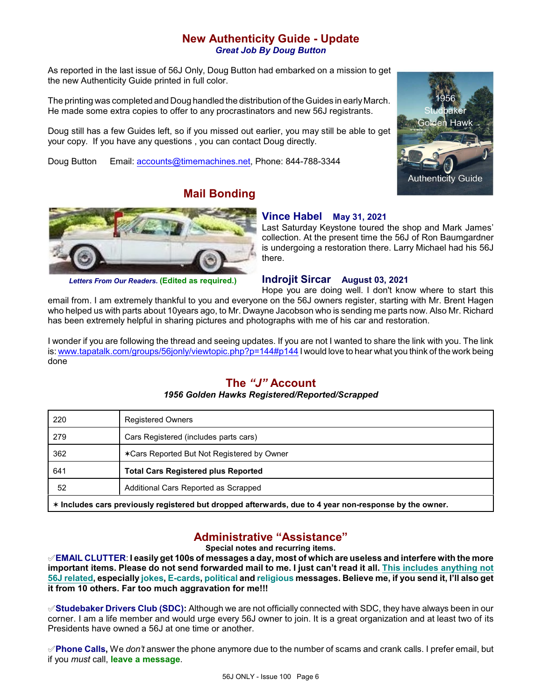### **New Authenticity Guide - Update** *Great Job By Doug Button*

As reported in the last issue of 56J Only, Doug Button had embarked on a mission to get the new Authenticity Guide printed in full color.

The printing was completed and Doug handled the distribution of the Guides in early March. He made some extra copies to offer to any procrastinators and new 56J registrants.

Doug still has a few Guides left, so if you missed out earlier, you may still be able to get your copy. If you have any questions , you can contact Doug directly.

**Mail Bonding**

Doug Button Email: [accounts@timemachines.net](mailto:accounts@timemachines.net), Phone: 844-788-3344





*Letters From Our Readers.* **(Edited as required.)**

#### **Vince Habel May 31, 2021**

Last Saturday Keystone toured the shop and Mark James' collection. At the present time the 56J of Ron Baumgardner is undergoing a restoration there. Larry Michael had his 56J there.

### **Indrojit Sircar August 03, 2021**

Hope you are doing well. I don't know where to start this email from. I am extremely thankful to you and everyone on the 56J owners register, starting with Mr. Brent Hagen who helped us with parts about 10years ago, to Mr. Dwayne Jacobson who is sending me parts now. Also Mr. Richard has been extremely helpful in sharing pictures and photographs with me of his car and restoration.

I wonder if you are following the thread and seeing updates. If you are not I wanted to share the link with you. The link is: [www.tapatalk.com/groups/56jonly/viewtopic.php?p=144#p144](http://www.tapatalk.com/groups/56jonly/viewtopic.php?p=144#p144) I would love to hear what you think of the work being done

### **The** *"J"* **Account**

#### *1956 Golden Hawks Registered/Reported/Scrapped*

| 220                                                                                                    | <b>Registered Owners</b>                   |  |  |  |
|--------------------------------------------------------------------------------------------------------|--------------------------------------------|--|--|--|
| 279                                                                                                    | Cars Registered (includes parts cars)      |  |  |  |
| 362                                                                                                    | ∗Cars Reported But Not Registered by Owner |  |  |  |
| 641                                                                                                    | <b>Total Cars Registered plus Reported</b> |  |  |  |
| 52                                                                                                     | Additional Cars Reported as Scrapped       |  |  |  |
| * Includes cars previously registered but dropped afterwards, due to 4 year non-response by the owner. |                                            |  |  |  |

### **Administrative "Assistance"**

**Special notes and recurring items.**

°**EMAIL CLUTTER**: **I easily get 100s of messages a day, most of which are useless and interfere with the more important items. Please do not send forwarded mail to me. I just can't read it all. This includes anything not 56J related, especially jokes, E-cards, political and religious messages. Believe me, if you send it, I'll also get it from 10 others. Far too much aggravation for me!!!**

°**Studebaker Drivers Club (SDC):** Although we are not officially connected with SDC, they have always been in our corner. I am a life member and would urge every 56J owner to join. It is a great organization and at least two of its Presidents have owned a 56J at one time or another.

°**Phone Calls,** We *don't* answer the phone anymore due to the number of scams and crank calls. I prefer email, but if you *must* call, **leave a message**.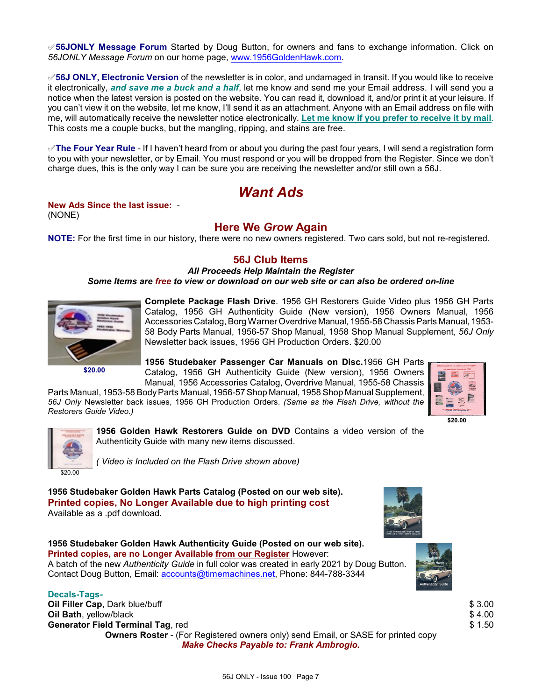°**56JONLY Message Forum** Started by Doug Button, for owners and fans to exchange information. Click on *56JONLY Message Forum* on our home page, [www.1956GoldenHawk.com](http://www.1956GoldenHawk.com).

°**56J ONLY, Electronic Version** of the newsletter is in color, and undamaged in transit. If you would like to receive it electronically, *and save me a buck and a half*, let me know and send me your Email address. I will send you a notice when the latest version is posted on the website. You can read it, download it, and/or print it at your leisure. If you can't view it on the website, let me know, I'll send it as an attachment. Anyone with an Email address on file with me, will automatically receive the newsletter notice electronically. **Let me know if you prefer to receive it by mail**. This costs me a couple bucks, but the mangling, ripping, and stains are free.

°**The Four Year Rule** - If I haven't heard from or about you during the past four years, I will send a registration form to you with your newsletter, or by Email. You must respond or you will be dropped from the Register. Since we don't charge dues, this is the only way I can be sure you are receiving the newsletter and/or still own a 56J.

# *Want Ads*

# **New Ads Since the last issue:** -

(NONE)

### **Here We** *Grow* **Again**

**NOTE:** For the first time in our history, there were no new owners registered. Two cars sold, but not re-registered.

### **56J Club Items**

*All Proceeds Help Maintain the Register*

*Some Items are free to view or download on our web site or can also be ordered on-line*



**Complete Package Flash Drive**. 1956 GH Restorers Guide Video plus 1956 GH Parts Catalog, 1956 GH Authenticity Guide (New version), 1956 Owners Manual, 1956 Accessories Catalog, Borg Warner Overdrive Manual, 1955-58 ChassisParts Manual, 1953- 58 Body Parts Manual, 1956-57 Shop Manual, 1958 Shop Manual Supplement, *56J Only* Newsletter back issues, 1956 GH Production Orders. \$20.00

**\$20.00**

**1956 Studebaker Passenger Car Manuals on Disc.**1956 GH Parts Catalog, 1956 GH Authenticity Guide (New version), 1956 Owners Manual, 1956 Accessories Catalog, Overdrive Manual, 1955-58 Chassis

Parts Manual, 1953-58 Body Parts Manual, 1956-57 Shop Manual, 1958 Shop Manual Supplement, *56J Only* Newsletter back issues, 1956 GH Production Orders. *(Same as the Flash Drive, without the Restorers Guide Video.)*





**1956 Golden Hawk Restorers Guide on DVD** Contains a video version of the Authenticity Guide with many new items discussed.

*( Video is Included on the Flash Drive shown above)*

**1956 Studebaker Golden Hawk Parts Catalog (Posted on our web site). Printed copies, No Longer Available due to high printing cost** Available as a .pdf download.



**1956 Studebaker Golden Hawk Authenticity Guide (Posted on our web site). Printed copies, are no Longer Available from our Register** However: A batch of the new *Authenticity Guide* in full color was created in early 2021 by Doug Button. Contact Doug Button, Email: [accounts@timemachines.net](mailto:accounts@timemachines.net), Phone: 844-788-3344

#### **Decals-Tags-**

**Oil Filler Cap**, Dark blue/buff **\$ 3.00 Oil Bath**, yellow/black \$ 4.00 **Generator Field Terminal Tag**, red \$ 1.50 **Owners Roster** - (For Registered owners only) send Email, or SASE for printed copy



*Make Checks Payable to: Frank Ambrogio.*